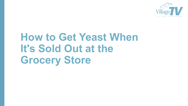

# **How to Get Yeast When It's Sold Out at the Grocery Store**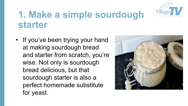

#### **1. Make a simple sourdough starter**

• If you've been trying your hand at making sourdough bread and starter from scratch, you're wise. Not only is sourdough bread delicious, but that sourdough starter is also a perfect homemade substitute for yeast.

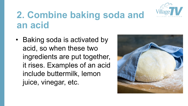

#### **2. Combine baking soda and an acid**

• Baking soda is activated by acid, so when these two ingredients are put together, it rises. Examples of an acid include buttermilk, lemon juice, vinegar, etc.

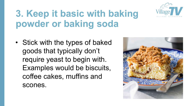

## **3. Keep it basic with baking powder or baking soda**

• Stick with the types of baked goods that typically don't require yeast to begin with. Examples would be biscuits, coffee cakes, muffins and scones.

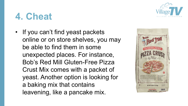

## **4. Cheat**

• If you can't find yeast packets online or on store shelves, you may be able to find them in some unexpected places. For instance, Bob's Red Mill Gluten-Free Pizza Crust Mix comes with a packet of yeast. Another option is looking for a baking mix that contains leavening, like a pancake mix.

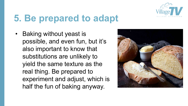

# **5. Be prepared to adapt**

• Baking without yeast is possible, and even fun, but it's also important to know that substitutions are unlikely to yield the same texture as the real thing. Be prepared to experiment and adjust, which is half the fun of baking anyway.